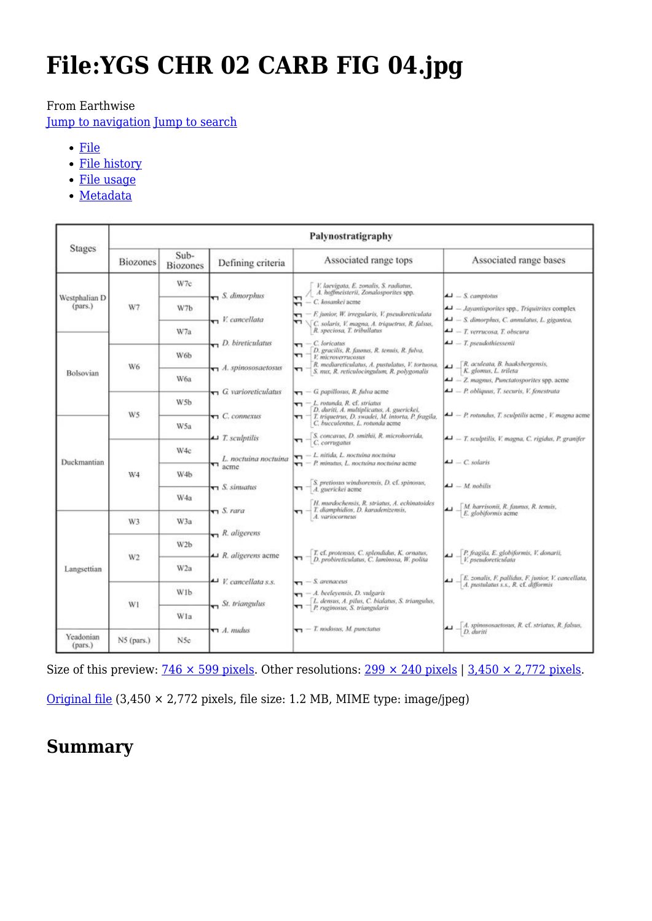# **File:YGS CHR 02 CARB FIG 04.jpg**

#### From Earthwise

[Jump to navigation](#page--1-0) [Jump to search](#page--1-0)

- [File](#page--1-0)
- [File history](#page--1-0)
- [File usage](#page--1-0)
- [Metadata](#page--1-0)

|                 | Palynostratigraphy      |                                                                                                                                    |                                                                                                                                                                                                                                                                                                                                                                                                                                                                                    |                                                                                                                                                                                                                                                                                                                                                                                          |
|-----------------|-------------------------|------------------------------------------------------------------------------------------------------------------------------------|------------------------------------------------------------------------------------------------------------------------------------------------------------------------------------------------------------------------------------------------------------------------------------------------------------------------------------------------------------------------------------------------------------------------------------------------------------------------------------|------------------------------------------------------------------------------------------------------------------------------------------------------------------------------------------------------------------------------------------------------------------------------------------------------------------------------------------------------------------------------------------|
| <b>Biozones</b> | Sub-<br><b>Biozones</b> | Defining criteria                                                                                                                  | Associated range tops                                                                                                                                                                                                                                                                                                                                                                                                                                                              | Associated range bases                                                                                                                                                                                                                                                                                                                                                                   |
| Westphalian D   | W7c                     | $\blacksquare$ S. dimorphus<br>$\blacksquare$ V. cancellata<br>$\Box$ <i>D. bireticulatus</i><br>$\blacksquare$ A. spinososaetosus | V. laevigata, E. zonalis, S. radiatus,<br>A. hoffmeisterii, Zonalosporites spp.<br>$\overline{r}$ - C. kosankei acme<br>- F. junior, W. irregularis, V. pseudoreticulata<br>T<br>┯┑<br>C. solaris, V. magna, A. triquetrus, R. falstes,<br>R. speciosa, T. tribullatus<br>$-C.$ loricatus<br>n<br>D. gracilis, R. faunus, R. temais, R. fulva,<br>47<br>V. microverrucosus<br>R. mediareticulatus, A. pustulatus, V. tortuosa,<br>T<br>S. nux, R. reticulocingulum, R. polygonalis | $\Delta$ = S. camptotus<br>$\blacktriangle$ - Jayantisporites spp., Triquitrites complex<br>- S. dimorphus, C. annulatus, L. gigantea,<br>$\blacktriangleleft$ - T. verrucosa, T. obscura<br>$\blacktriangle$ - T. pseudothiessenii<br>R. aculeata, B. haaksbergensis,<br>K. glomus, L. trileta<br>- Z. magnus, Punctatosporites spp. acme<br>4 - P. obliquus, T. securis, V. fenestrata |
| W7              | W7b                     |                                                                                                                                    |                                                                                                                                                                                                                                                                                                                                                                                                                                                                                    |                                                                                                                                                                                                                                                                                                                                                                                          |
|                 | W7a                     |                                                                                                                                    |                                                                                                                                                                                                                                                                                                                                                                                                                                                                                    |                                                                                                                                                                                                                                                                                                                                                                                          |
| W6              | W6b                     |                                                                                                                                    |                                                                                                                                                                                                                                                                                                                                                                                                                                                                                    |                                                                                                                                                                                                                                                                                                                                                                                          |
|                 | W6a                     |                                                                                                                                    |                                                                                                                                                                                                                                                                                                                                                                                                                                                                                    |                                                                                                                                                                                                                                                                                                                                                                                          |
|                 | W <sub>5</sub> b        |                                                                                                                                    | - L. rotunda, R. cf. striatus<br>D. duriti, A. multiplicatus, A. guerickel,                                                                                                                                                                                                                                                                                                                                                                                                        | $\blacktriangle$ - P. rotundus, T. sculptilis acme, V. magna acme                                                                                                                                                                                                                                                                                                                        |
|                 | W5a                     | $\triangle$ T. sculptilis                                                                                                          | C. bucculentus, L. rotunda acme                                                                                                                                                                                                                                                                                                                                                                                                                                                    | $\blacktriangle$ - T. sculptilis, V. magna, C. rigidus, P. granifer                                                                                                                                                                                                                                                                                                                      |
|                 | W4c                     | L. noctuina noctuina                                                                                                               | $\leftarrow$ 1. nitida, L. noctuina noctuina<br>$\blacktriangleright$ - P. minutus, L. noctuina noctuina acme                                                                                                                                                                                                                                                                                                                                                                      | $\triangle$ $\triangle$ $\triangle$ solaris                                                                                                                                                                                                                                                                                                                                              |
| W <sub>4</sub>  | W4b                     | $\blacksquare$ S. simuatus<br>$\pi$ S. rara                                                                                        | S. pretiosus windsorensis, D. cf. spinosus,<br>*1<br>A. guerickei acme                                                                                                                                                                                                                                                                                                                                                                                                             | $\Box$ $-M$ nobilis                                                                                                                                                                                                                                                                                                                                                                      |
|                 | W4a                     |                                                                                                                                    | H. murdochensis, R. striatus, A. echinatoides<br>$\blacktriangleright$ T. diamphidios, D. karadenizensis,                                                                                                                                                                                                                                                                                                                                                                          | M. harrisonii, R. faunus, R. tenuis,<br>E. globiformis acme                                                                                                                                                                                                                                                                                                                              |
| W3              | W3a                     | $R$ . aligerens<br>$\blacktriangle$ R. aligerens acme                                                                              | T. cf. protensus, C. splendidus, K. ornatus,<br>D. probireticulatus, C. laminosa, W. polita<br>᠊᠇                                                                                                                                                                                                                                                                                                                                                                                  |                                                                                                                                                                                                                                                                                                                                                                                          |
| W <sub>2</sub>  |                         |                                                                                                                                    |                                                                                                                                                                                                                                                                                                                                                                                                                                                                                    | P. fragila, E. globiformis, V. donarii,<br>V. pseudoreticulata                                                                                                                                                                                                                                                                                                                           |
|                 |                         | ▲ <i>V. cancellata s.s.</i>                                                                                                        | $\mathbf{v}$ - <i>S. arenaceus</i>                                                                                                                                                                                                                                                                                                                                                                                                                                                 | E. zonalis, F. pallidus, F. junior, V. cancellata,<br>A. pustulatus s.s., R. cf. difformis                                                                                                                                                                                                                                                                                               |
| W1              |                         | $\sum$ St. triangulus                                                                                                              | L. densus, A. pilus, C. bialatus, S. triangulus,<br>P. ruginosus, S. triangularis<br>┯┑                                                                                                                                                                                                                                                                                                                                                                                            |                                                                                                                                                                                                                                                                                                                                                                                          |
|                 |                         | $\P$ <i>A. midus</i>                                                                                                               | $\blacktriangleright$ T. nodosus, M. punctatus                                                                                                                                                                                                                                                                                                                                                                                                                                     | A. spinososactosus, R. cf. striatus, R. falsus,<br>D. duriti                                                                                                                                                                                                                                                                                                                             |
|                 | W5<br>N5 (pars.)        | W <sub>2</sub> b<br>W <sub>2a</sub><br>W1b<br>Wla<br>N <sub>5c</sub>                                                               | $\blacksquare$ G. varioreticulatus<br>$\blacktriangleright$ C. connexus<br>$\blacksquare$ acme                                                                                                                                                                                                                                                                                                                                                                                     | $\blacktriangleright$ - G papillosus, R. fulva acme<br>T. triquetrus, D. swadei, M. intorta, P. fragila,<br>↽<br>$\blacksquare$ $\blacksquare$ $S$ concavus, D. smithii, R. microhorrida,<br>C. corrugatus<br>A. variocorneus<br>$\blacktriangleright$ - A. beclevensis, D. vulgaris                                                                                                     |

Size of this preview:  $746 \times 599$  pixels. Other resolutions:  $299 \times 240$  pixels  $\frac{3,450 \times 2,772 \text{ pixels}}{3,450 \times 2,772 \text{ pixels}}$ .

[Original file](http://earthwise.bgs.ac.uk/images/6/67/YGS_CHR_02_CARB_FIG_04.jpg) (3,450 × 2,772 pixels, file size: 1.2 MB, MIME type: image/jpeg)

# **Summary**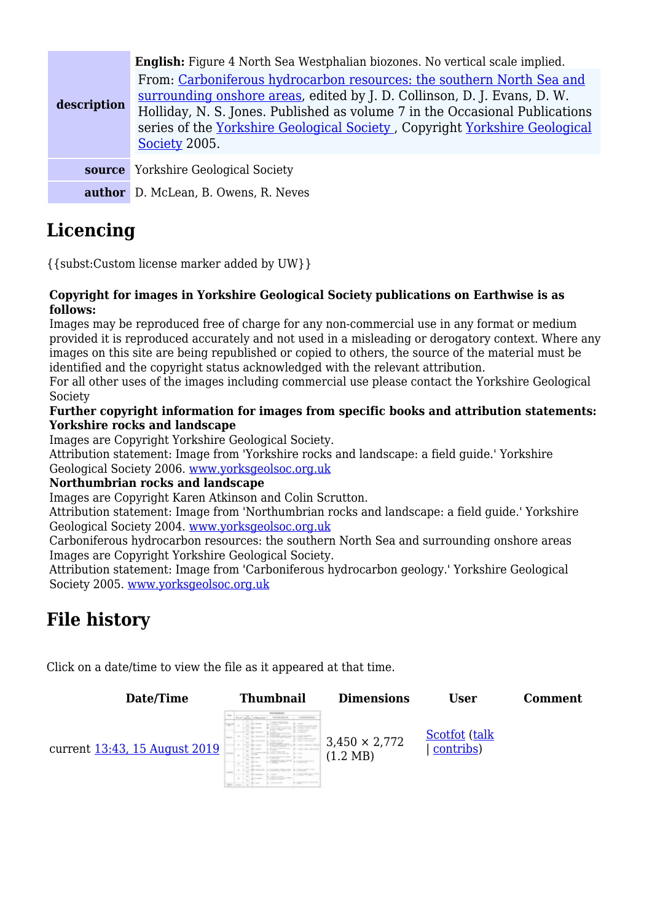| description | <b>English:</b> Figure 4 North Sea Westphalian biozones. No vertical scale implied.<br>From: Carboniferous hydrocarbon resources: the southern North Sea and<br>surrounding onshore areas, edited by J. D. Collinson, D. J. Evans, D. W.<br>Holliday, N. S. Jones. Published as volume 7 in the Occasional Publications<br>series of the Yorkshire Geological Society, Copyright Yorkshire Geological<br>Society 2005. |
|-------------|------------------------------------------------------------------------------------------------------------------------------------------------------------------------------------------------------------------------------------------------------------------------------------------------------------------------------------------------------------------------------------------------------------------------|
|             | <b>source</b> Yorkshire Geological Society                                                                                                                                                                                                                                                                                                                                                                             |
|             | <b>author</b> D. McLean, B. Owens, R. Neves                                                                                                                                                                                                                                                                                                                                                                            |

# **Licencing**

{{subst:Custom license marker added by UW}}

#### **Copyright for images in Yorkshire Geological Society publications on Earthwise is as follows:**

Images may be reproduced free of charge for any non-commercial use in any format or medium provided it is reproduced accurately and not used in a misleading or derogatory context. Where any images on this site are being republished or copied to others, the source of the material must be identified and the copyright status acknowledged with the relevant attribution.

For all other uses of the images including commercial use please contact the Yorkshire Geological Society

#### **Further copyright information for images from specific books and attribution statements: Yorkshire rocks and landscape**

Images are Copyright Yorkshire Geological Society.

Attribution statement: Image from 'Yorkshire rocks and landscape: a field guide.' Yorkshire Geological Society 2006. [www.yorksgeolsoc.org.uk](http://www.yorksgeolsoc.org.uk)

#### **Northumbrian rocks and landscape**

Images are Copyright Karen Atkinson and Colin Scrutton.

Attribution statement: Image from 'Northumbrian rocks and landscape: a field guide.' Yorkshire Geological Society 2004. [www.yorksgeolsoc.org.uk](http://www.yorksgeolsoc.org.uk)

Carboniferous hydrocarbon resources: the southern North Sea and surrounding onshore areas Images are Copyright Yorkshire Geological Society.

Attribution statement: Image from 'Carboniferous hydrocarbon geology.' Yorkshire Geological Society 2005. [www.yorksgeolsoc.org.uk](http://www.yorksgeolsoc.org.uk)

# **File history**

Click on a date/time to view the file as it appeared at that time.

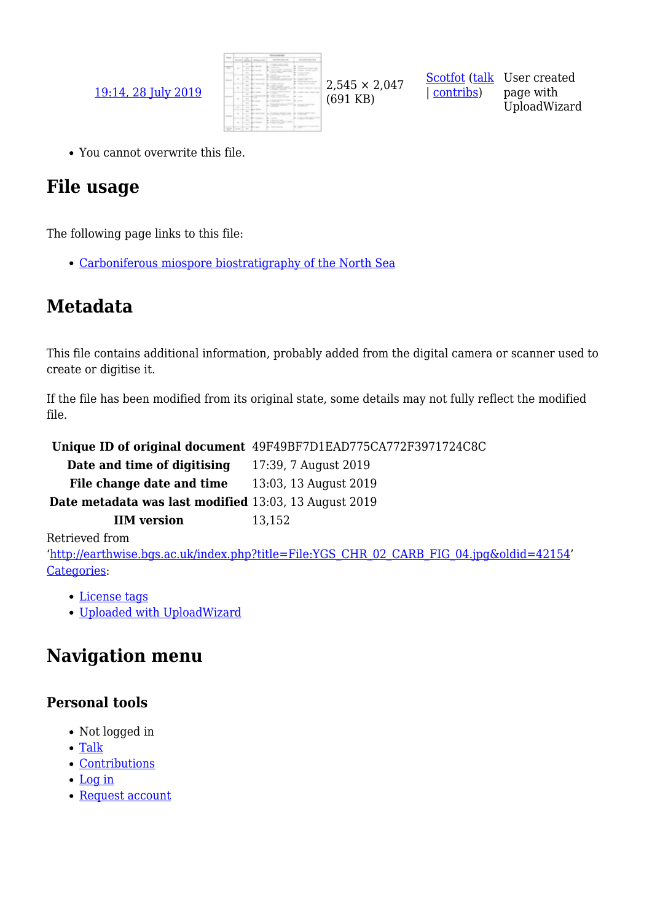

| [contribs\)](http://earthwise.bgs.ac.uk/index.php/Special:Contributions/Scotfot)

[Scotfot](http://earthwise.bgs.ac.uk/index.php/User:Scotfot) [\(talk](http://earthwise.bgs.ac.uk/index.php/User_talk:Scotfot) User created page with UploadWizard

You cannot overwrite this file.

# **File usage**

The following page links to this file:

[Carboniferous miospore biostratigraphy of the North Sea](http://earthwise.bgs.ac.uk/index.php/Carboniferous_miospore_biostratigraphy_of_the_North_Sea)

# **Metadata**

This file contains additional information, probably added from the digital camera or scanner used to create or digitise it.

If the file has been modified from its original state, some details may not fully reflect the modified file.

**Unique ID of original document** 49F49BF7D1EAD775CA772F3971724C8C **Date and time of digitising** 17:39, 7 August 2019 File change date and time 13:03, 13 August 2019 **Date metadata was last modified** 13:03, 13 August 2019 **IIM version** 13,152 Retrieved from '[http://earthwise.bgs.ac.uk/index.php?title=File:YGS\\_CHR\\_02\\_CARB\\_FIG\\_04.jpg&oldid=42154'](http://earthwise.bgs.ac.uk/index.php?title=File:YGS_CHR_02_CARB_FIG_04.jpg&oldid=42154) [Categories:](http://earthwise.bgs.ac.uk/index.php/Special:Categories)

- [License tags](http://earthwise.bgs.ac.uk/index.php/Category:License_tags)
- [Uploaded with UploadWizard](http://earthwise.bgs.ac.uk/index.php/Category:Uploaded_with_UploadWizard)

# **Navigation menu**

### **Personal tools**

- Not logged in
- [Talk](http://earthwise.bgs.ac.uk/index.php/Special:MyTalk)
- [Contributions](http://earthwise.bgs.ac.uk/index.php/Special:MyContributions)
- [Log in](http://earthwise.bgs.ac.uk/index.php?title=Special:UserLogin&returnto=File%3AYGS+CHR+02+CARB+FIG+04.jpg&returntoquery=action%3Dmpdf)
- [Request account](http://earthwise.bgs.ac.uk/index.php/Special:RequestAccount)